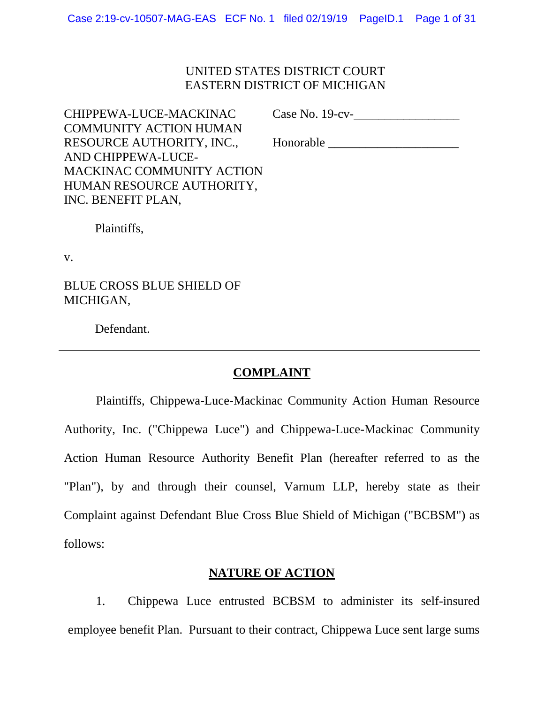#### UNITED STATES DISTRICT COURT EASTERN DISTRICT OF MICHIGAN

CHIPPEWA-LUCE-MACKINAC COMMUNITY ACTION HUMAN RESOURCE AUTHORITY, INC., AND CHIPPEWA-LUCE-MACKINAC COMMUNITY ACTION HUMAN RESOURCE AUTHORITY, INC. BENEFIT PLAN,

Case No. 19-cv-\_\_\_\_\_\_\_\_\_\_\_\_\_\_\_\_\_

Honorable \_\_\_\_\_\_\_\_\_\_\_\_\_\_\_\_\_\_\_\_\_

Plaintiffs,

v.

BLUE CROSS BLUE SHIELD OF MICHIGAN,

Defendant.

# **COMPLAINT**

Plaintiffs, Chippewa-Luce-Mackinac Community Action Human Resource Authority, Inc. ("Chippewa Luce") and Chippewa-Luce-Mackinac Community Action Human Resource Authority Benefit Plan (hereafter referred to as the "Plan"), by and through their counsel, Varnum LLP, hereby state as their Complaint against Defendant Blue Cross Blue Shield of Michigan ("BCBSM") as follows:

## **NATURE OF ACTION**

1. Chippewa Luce entrusted BCBSM to administer its self-insured employee benefit Plan. Pursuant to their contract, Chippewa Luce sent large sums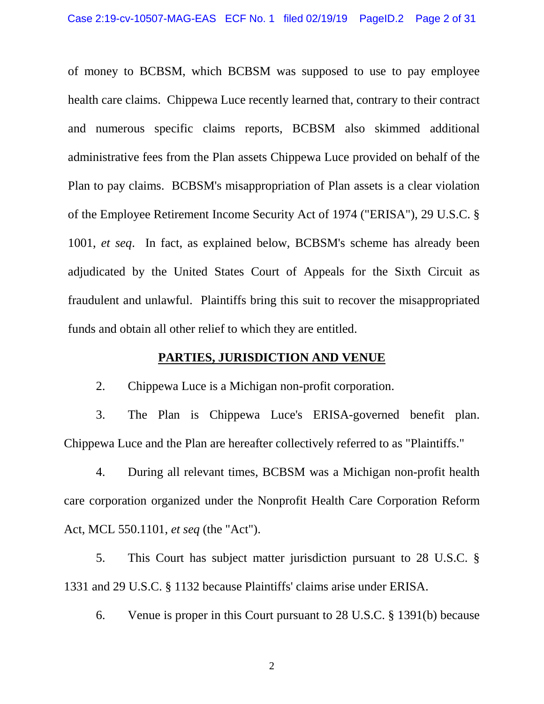of money to BCBSM, which BCBSM was supposed to use to pay employee health care claims. Chippewa Luce recently learned that, contrary to their contract and numerous specific claims reports, BCBSM also skimmed additional administrative fees from the Plan assets Chippewa Luce provided on behalf of the Plan to pay claims. BCBSM's misappropriation of Plan assets is a clear violation of the Employee Retirement Income Security Act of 1974 ("ERISA"), 29 U.S.C. § 1001, *et seq*. In fact, as explained below, BCBSM's scheme has already been adjudicated by the United States Court of Appeals for the Sixth Circuit as fraudulent and unlawful. Plaintiffs bring this suit to recover the misappropriated funds and obtain all other relief to which they are entitled.

### **PARTIES, JURISDICTION AND VENUE**

2. Chippewa Luce is a Michigan non-profit corporation.

3. The Plan is Chippewa Luce's ERISA-governed benefit plan. Chippewa Luce and the Plan are hereafter collectively referred to as "Plaintiffs."

4. During all relevant times, BCBSM was a Michigan non-profit health care corporation organized under the Nonprofit Health Care Corporation Reform Act, MCL 550.1101, *et seq* (the "Act").

5. This Court has subject matter jurisdiction pursuant to 28 U.S.C. § 1331 and 29 U.S.C. § 1132 because Plaintiffs' claims arise under ERISA.

6. Venue is proper in this Court pursuant to 28 U.S.C. § 1391(b) because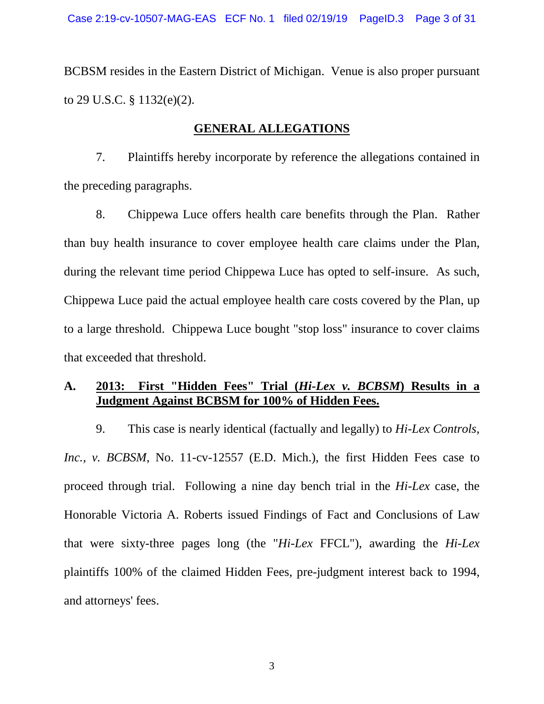BCBSM resides in the Eastern District of Michigan. Venue is also proper pursuant to 29 U.S.C. § 1132(e)(2).

# **GENERAL ALLEGATIONS**

7. Plaintiffs hereby incorporate by reference the allegations contained in the preceding paragraphs.

8. Chippewa Luce offers health care benefits through the Plan. Rather than buy health insurance to cover employee health care claims under the Plan, during the relevant time period Chippewa Luce has opted to self-insure. As such, Chippewa Luce paid the actual employee health care costs covered by the Plan, up to a large threshold. Chippewa Luce bought "stop loss" insurance to cover claims that exceeded that threshold.

# **A. 2013: First "Hidden Fees" Trial (***Hi-Lex v. BCBSM***) Results in a Judgment Against BCBSM for 100% of Hidden Fees.**

9. This case is nearly identical (factually and legally) to *Hi-Lex Controls, Inc., v. BCBSM*, No. 11-cv-12557 (E.D. Mich.), the first Hidden Fees case to proceed through trial. Following a nine day bench trial in the *Hi-Lex* case, the Honorable Victoria A. Roberts issued Findings of Fact and Conclusions of Law that were sixty-three pages long (the "*Hi-Lex* FFCL"), awarding the *Hi-Lex* plaintiffs 100% of the claimed Hidden Fees, pre-judgment interest back to 1994, and attorneys' fees.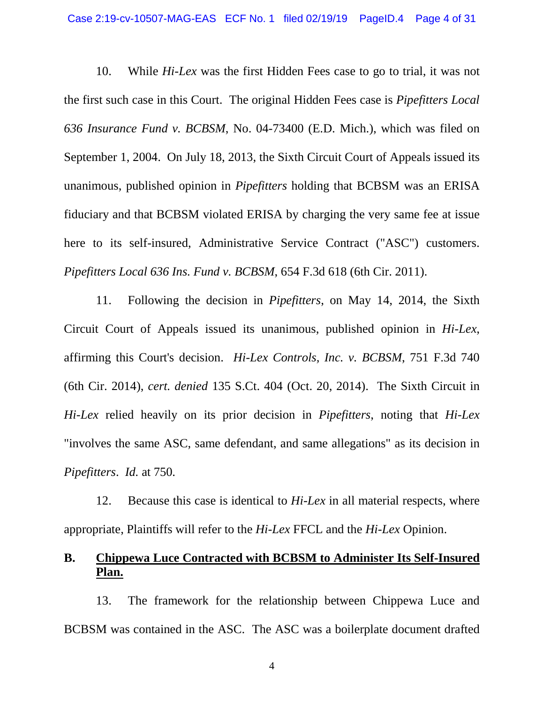10. While *Hi-Lex* was the first Hidden Fees case to go to trial, it was not the first such case in this Court. The original Hidden Fees case is *Pipefitters Local 636 Insurance Fund v. BCBSM*, No. 04-73400 (E.D. Mich.), which was filed on September 1, 2004. On July 18, 2013, the Sixth Circuit Court of Appeals issued its unanimous, published opinion in *Pipefitters* holding that BCBSM was an ERISA fiduciary and that BCBSM violated ERISA by charging the very same fee at issue here to its self-insured, Administrative Service Contract ("ASC") customers. *Pipefitters Local 636 Ins. Fund v. BCBSM*, 654 F.3d 618 (6th Cir. 2011).

11. Following the decision in *Pipefitters*, on May 14, 2014, the Sixth Circuit Court of Appeals issued its unanimous, published opinion in *Hi-Lex*, affirming this Court's decision. *Hi-Lex Controls, Inc. v. BCBSM*, 751 F.3d 740 (6th Cir. 2014), *cert. denied* 135 S.Ct. 404 (Oct. 20, 2014). The Sixth Circuit in *Hi-Lex* relied heavily on its prior decision in *Pipefitters*, noting that *Hi-Lex* "involves the same ASC, same defendant, and same allegations" as its decision in *Pipefitters*. *Id.* at 750.

12. Because this case is identical to *Hi-Lex* in all material respects, where appropriate, Plaintiffs will refer to the *Hi-Lex* FFCL and the *Hi-Lex* Opinion.

# **B. Chippewa Luce Contracted with BCBSM to Administer Its Self-Insured Plan.**

13. The framework for the relationship between Chippewa Luce and BCBSM was contained in the ASC. The ASC was a boilerplate document drafted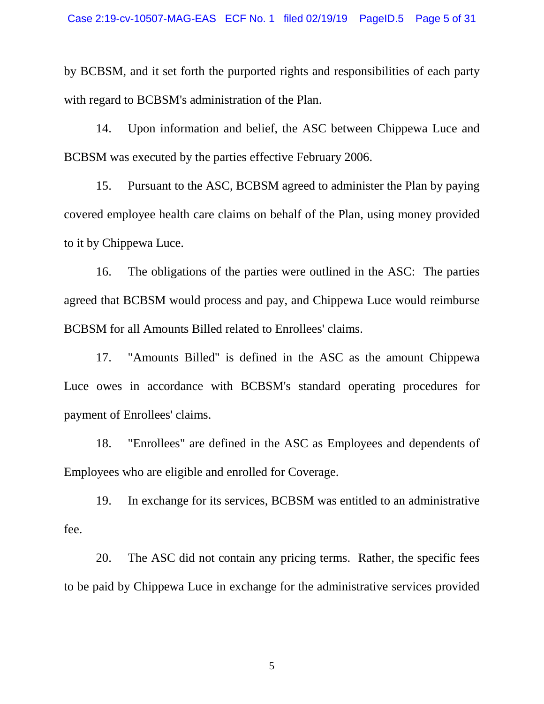by BCBSM, and it set forth the purported rights and responsibilities of each party with regard to BCBSM's administration of the Plan.

14. Upon information and belief, the ASC between Chippewa Luce and BCBSM was executed by the parties effective February 2006.

15. Pursuant to the ASC, BCBSM agreed to administer the Plan by paying covered employee health care claims on behalf of the Plan, using money provided to it by Chippewa Luce.

16. The obligations of the parties were outlined in the ASC: The parties agreed that BCBSM would process and pay, and Chippewa Luce would reimburse BCBSM for all Amounts Billed related to Enrollees' claims.

17. "Amounts Billed" is defined in the ASC as the amount Chippewa Luce owes in accordance with BCBSM's standard operating procedures for payment of Enrollees' claims.

18. "Enrollees" are defined in the ASC as Employees and dependents of Employees who are eligible and enrolled for Coverage.

19. In exchange for its services, BCBSM was entitled to an administrative fee.

20. The ASC did not contain any pricing terms. Rather, the specific fees to be paid by Chippewa Luce in exchange for the administrative services provided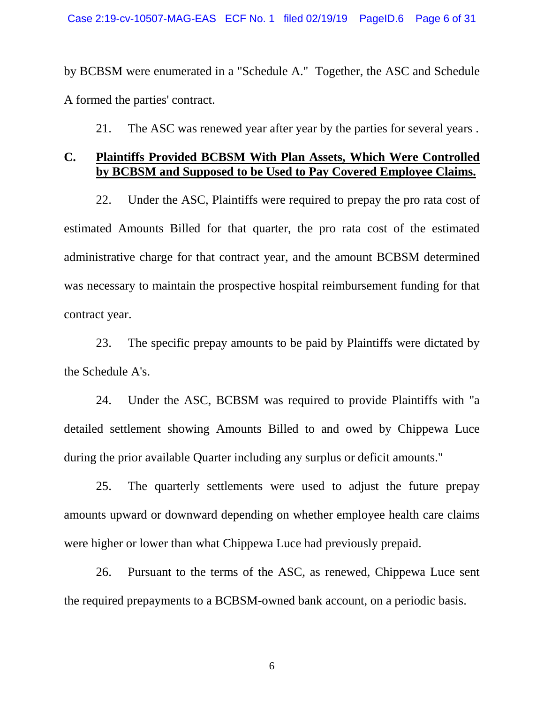by BCBSM were enumerated in a "Schedule A." Together, the ASC and Schedule A formed the parties' contract.

21. The ASC was renewed year after year by the parties for several years .

# **C. Plaintiffs Provided BCBSM With Plan Assets, Which Were Controlled by BCBSM and Supposed to be Used to Pay Covered Employee Claims.**

22. Under the ASC, Plaintiffs were required to prepay the pro rata cost of estimated Amounts Billed for that quarter, the pro rata cost of the estimated administrative charge for that contract year, and the amount BCBSM determined was necessary to maintain the prospective hospital reimbursement funding for that contract year.

23. The specific prepay amounts to be paid by Plaintiffs were dictated by the Schedule A's.

24. Under the ASC, BCBSM was required to provide Plaintiffs with "a detailed settlement showing Amounts Billed to and owed by Chippewa Luce during the prior available Quarter including any surplus or deficit amounts."

25. The quarterly settlements were used to adjust the future prepay amounts upward or downward depending on whether employee health care claims were higher or lower than what Chippewa Luce had previously prepaid.

26. Pursuant to the terms of the ASC, as renewed, Chippewa Luce sent the required prepayments to a BCBSM-owned bank account, on a periodic basis.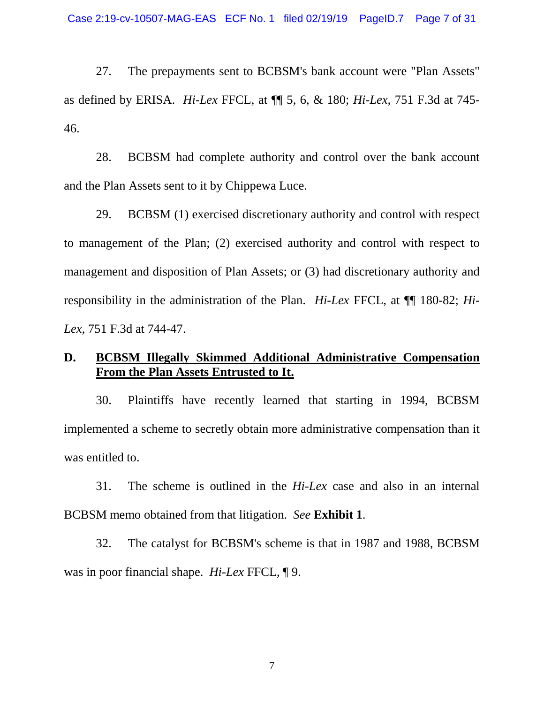27. The prepayments sent to BCBSM's bank account were "Plan Assets" as defined by ERISA. *Hi-Lex* FFCL, at ¶¶ 5, 6, & 180; *Hi-Lex,* 751 F.3d at 745- 46.

28. BCBSM had complete authority and control over the bank account and the Plan Assets sent to it by Chippewa Luce.

29. BCBSM (1) exercised discretionary authority and control with respect to management of the Plan; (2) exercised authority and control with respect to management and disposition of Plan Assets; or (3) had discretionary authority and responsibility in the administration of the Plan. *Hi-Lex* FFCL, at ¶¶ 180-82; *Hi-Lex*, 751 F.3d at 744-47.

# **D. BCBSM Illegally Skimmed Additional Administrative Compensation From the Plan Assets Entrusted to It.**

30. Plaintiffs have recently learned that starting in 1994, BCBSM implemented a scheme to secretly obtain more administrative compensation than it was entitled to.

31. The scheme is outlined in the *Hi-Lex* case and also in an internal BCBSM memo obtained from that litigation. *See* **Exhibit 1**.

32. The catalyst for BCBSM's scheme is that in 1987 and 1988, BCBSM was in poor financial shape. *Hi-Lex* FFCL, ¶ 9.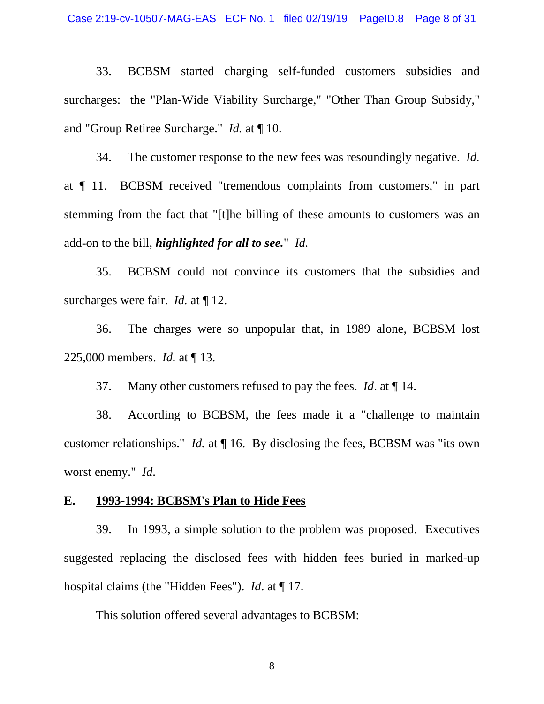33. BCBSM started charging self-funded customers subsidies and surcharges: the "Plan-Wide Viability Surcharge," "Other Than Group Subsidy," and "Group Retiree Surcharge." *Id.* at ¶ 10.

34. The customer response to the new fees was resoundingly negative. *Id.* at ¶ 11. BCBSM received "tremendous complaints from customers," in part stemming from the fact that "[t]he billing of these amounts to customers was an add-on to the bill, *highlighted for all to see.*" *Id.*

35. BCBSM could not convince its customers that the subsidies and surcharges were fair. *Id.* at 12.

36. The charges were so unpopular that, in 1989 alone, BCBSM lost 225,000 members. *Id.* at ¶ 13.

37. Many other customers refused to pay the fees. *Id*. at ¶ 14.

38. According to BCBSM, the fees made it a "challenge to maintain customer relationships." *Id.* at ¶ 16. By disclosing the fees, BCBSM was "its own worst enemy." *Id*.

#### **E. 1993-1994: BCBSM's Plan to Hide Fees**

39. In 1993, a simple solution to the problem was proposed. Executives suggested replacing the disclosed fees with hidden fees buried in marked-up hospital claims (the "Hidden Fees"). *Id*. at ¶ 17.

This solution offered several advantages to BCBSM: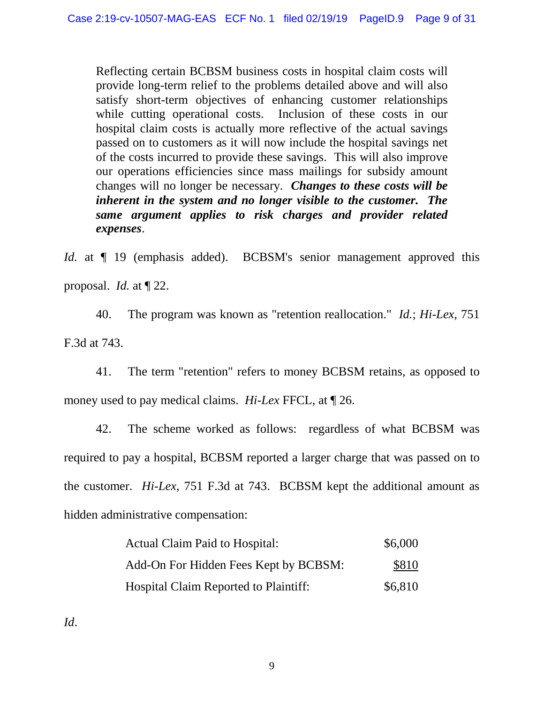Reflecting certain BCBSM business costs in hospital claim costs will provide long-term relief to the problems detailed above and will also satisfy short-term objectives of enhancing customer relationships while cutting operational costs. Inclusion of these costs in our hospital claim costs is actually more reflective of the actual savings passed on to customers as it will now include the hospital savings net of the costs incurred to provide these savings. This will also improve our operations efficiencies since mass mailings for subsidy amount changes will no longer be necessary. *Changes to these costs will be inherent in the system and no longer visible to the customer. The same argument applies to risk charges and provider related expenses*.

*Id.* at  $\P$  19 (emphasis added). BCBSM's senior management approved this proposal. *Id.* at ¶ 22.

40. The program was known as "retention reallocation." *Id.*; *Hi-Lex,* 751 F.3d at 743.

41. The term "retention" refers to money BCBSM retains, as opposed to money used to pay medical claims. *Hi-Lex* FFCL, at ¶ 26.

42. The scheme worked as follows: regardless of what BCBSM was required to pay a hospital, BCBSM reported a larger charge that was passed on to the customer. *Hi-Lex*, 751 F.3d at 743. BCBSM kept the additional amount as hidden administrative compensation:

| <b>Actual Claim Paid to Hospital:</b>        | \$6,000 |
|----------------------------------------------|---------|
| Add-On For Hidden Fees Kept by BCBSM:        | \$810   |
| <b>Hospital Claim Reported to Plaintiff:</b> | \$6,810 |

*Id*.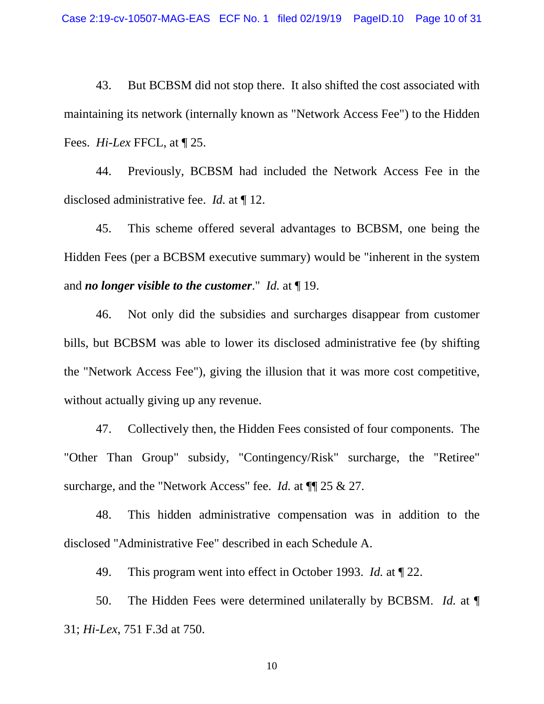43. But BCBSM did not stop there. It also shifted the cost associated with maintaining its network (internally known as "Network Access Fee") to the Hidden Fees. *Hi-Lex* FFCL, at ¶ 25.

44. Previously, BCBSM had included the Network Access Fee in the disclosed administrative fee. *Id.* at ¶ 12.

45. This scheme offered several advantages to BCBSM, one being the Hidden Fees (per a BCBSM executive summary) would be "inherent in the system and *no longer visible to the customer*." *Id.* at ¶ 19.

46. Not only did the subsidies and surcharges disappear from customer bills, but BCBSM was able to lower its disclosed administrative fee (by shifting the "Network Access Fee"), giving the illusion that it was more cost competitive, without actually giving up any revenue.

47. Collectively then, the Hidden Fees consisted of four components. The "Other Than Group" subsidy, "Contingency/Risk" surcharge, the "Retiree" surcharge, and the "Network Access" fee. *Id.* at  $\P$  25 & 27.

48. This hidden administrative compensation was in addition to the disclosed "Administrative Fee" described in each Schedule A.

49. This program went into effect in October 1993. *Id.* at ¶ 22.

50. The Hidden Fees were determined unilaterally by BCBSM. *Id.* at ¶ 31; *Hi-Lex*, 751 F.3d at 750.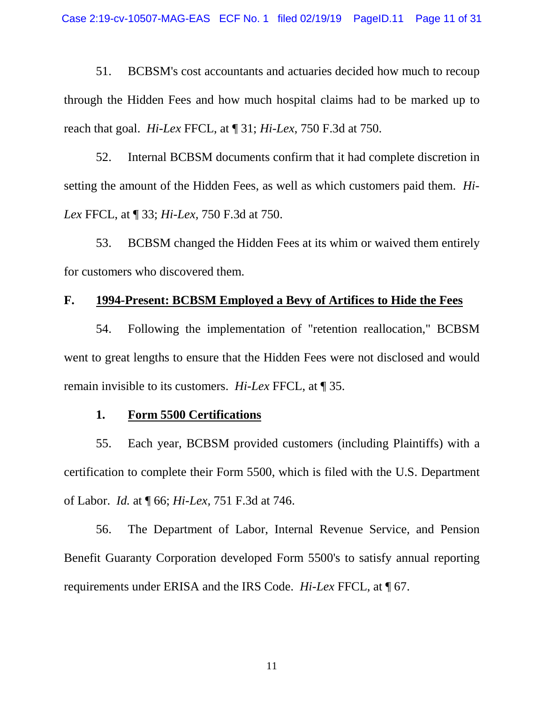51. BCBSM's cost accountants and actuaries decided how much to recoup through the Hidden Fees and how much hospital claims had to be marked up to reach that goal. *Hi-Lex* FFCL, at ¶ 31; *Hi-Lex*, 750 F.3d at 750.

52. Internal BCBSM documents confirm that it had complete discretion in setting the amount of the Hidden Fees, as well as which customers paid them. *Hi-Lex* FFCL, at ¶ 33; *Hi-Lex,* 750 F.3d at 750.

53. BCBSM changed the Hidden Fees at its whim or waived them entirely for customers who discovered them.

# **F. 1994-Present: BCBSM Employed a Bevy of Artifices to Hide the Fees**

54. Following the implementation of "retention reallocation," BCBSM went to great lengths to ensure that the Hidden Fees were not disclosed and would remain invisible to its customers. *Hi-Lex* FFCL, at ¶ 35.

#### **1. Form 5500 Certifications**

55. Each year, BCBSM provided customers (including Plaintiffs) with a certification to complete their Form 5500, which is filed with the U.S. Department of Labor. *Id.* at ¶ 66; *Hi-Lex,* 751 F.3d at 746.

56. The Department of Labor, Internal Revenue Service, and Pension Benefit Guaranty Corporation developed Form 5500's to satisfy annual reporting requirements under ERISA and the IRS Code. *Hi-Lex* FFCL, at ¶ 67.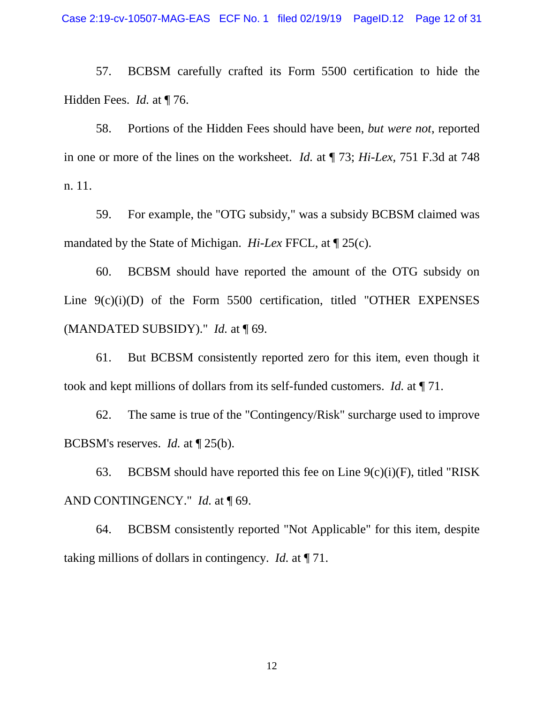57. BCBSM carefully crafted its Form 5500 certification to hide the Hidden Fees. *Id.* at ¶ 76.

58. Portions of the Hidden Fees should have been, *but were not*, reported in one or more of the lines on the worksheet. *Id.* at ¶ 73; *Hi-Lex,* 751 F.3d at 748 n. 11.

59. For example, the "OTG subsidy," was a subsidy BCBSM claimed was mandated by the State of Michigan. *Hi-Lex* FFCL, at ¶ 25(c).

60. BCBSM should have reported the amount of the OTG subsidy on Line 9(c)(i)(D) of the Form 5500 certification, titled "OTHER EXPENSES (MANDATED SUBSIDY)." *Id.* at ¶ 69.

61. But BCBSM consistently reported zero for this item, even though it took and kept millions of dollars from its self-funded customers. *Id.* at ¶ 71.

62. The same is true of the "Contingency/Risk" surcharge used to improve BCBSM's reserves. *Id.* at ¶ 25(b).

63. BCBSM should have reported this fee on Line  $9(c)(i)(F)$ , titled "RISK" AND CONTINGENCY." *Id.* at ¶ 69.

64. BCBSM consistently reported "Not Applicable" for this item, despite taking millions of dollars in contingency. *Id.* at ¶ 71.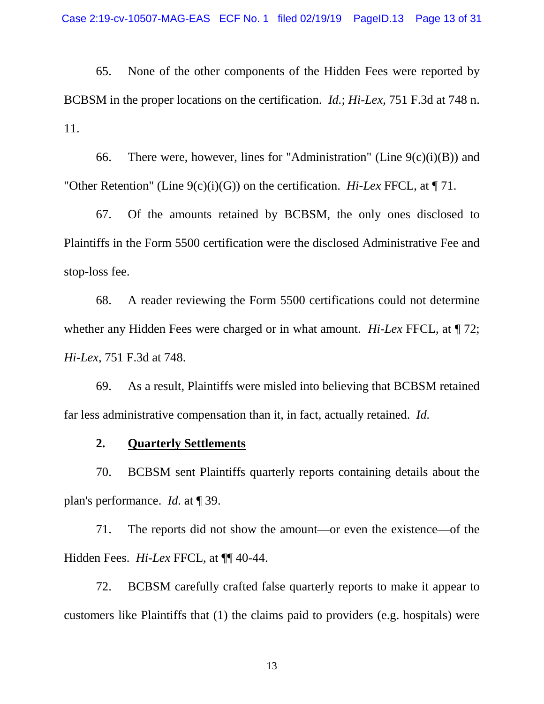65. None of the other components of the Hidden Fees were reported by BCBSM in the proper locations on the certification. *Id.*; *Hi-Lex,* 751 F.3d at 748 n. 11.

66. There were, however, lines for "Administration" (Line  $9(c)(i)(B)$ ) and "Other Retention" (Line 9(c)(i)(G)) on the certification. *Hi-Lex* FFCL, at ¶ 71.

67. Of the amounts retained by BCBSM, the only ones disclosed to Plaintiffs in the Form 5500 certification were the disclosed Administrative Fee and stop-loss fee.

68. A reader reviewing the Form 5500 certifications could not determine whether any Hidden Fees were charged or in what amount. *Hi-Lex* FFCL, at  $\P$  72; *Hi-Lex*, 751 F.3d at 748.

69. As a result, Plaintiffs were misled into believing that BCBSM retained far less administrative compensation than it, in fact, actually retained. *Id.* 

#### **2. Quarterly Settlements**

70. BCBSM sent Plaintiffs quarterly reports containing details about the plan's performance. *Id.* at ¶ 39.

71. The reports did not show the amount—or even the existence—of the Hidden Fees. *Hi-Lex* FFCL, at ¶¶ 40-44.

72. BCBSM carefully crafted false quarterly reports to make it appear to customers like Plaintiffs that (1) the claims paid to providers (e.g. hospitals) were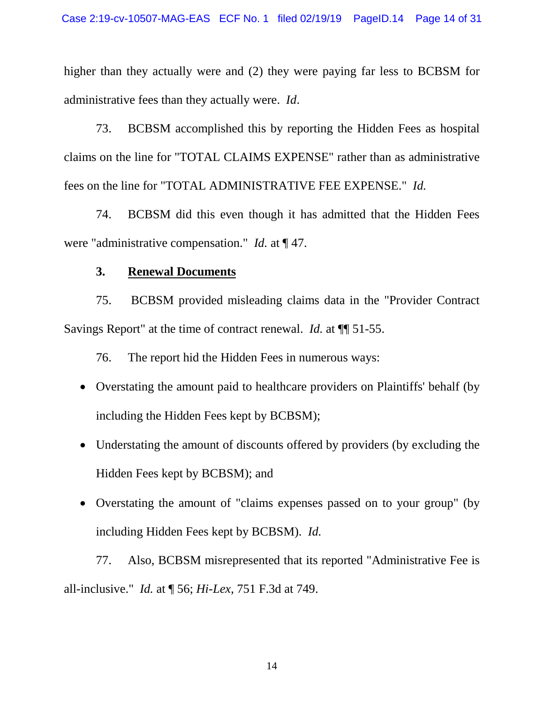higher than they actually were and (2) they were paying far less to BCBSM for administrative fees than they actually were. *Id*.

73. BCBSM accomplished this by reporting the Hidden Fees as hospital claims on the line for "TOTAL CLAIMS EXPENSE" rather than as administrative fees on the line for "TOTAL ADMINISTRATIVE FEE EXPENSE." *Id.*

74. BCBSM did this even though it has admitted that the Hidden Fees were "administrative compensation." *Id.* at  $\P$  47.

## **3. Renewal Documents**

75. BCBSM provided misleading claims data in the "Provider Contract Savings Report" at the time of contract renewal. *Id.* at  $\P$  51-55.

76. The report hid the Hidden Fees in numerous ways:

- Overstating the amount paid to healthcare providers on Plaintiffs' behalf (by including the Hidden Fees kept by BCBSM);
- Understating the amount of discounts offered by providers (by excluding the Hidden Fees kept by BCBSM); and
- Overstating the amount of "claims expenses passed on to your group" (by including Hidden Fees kept by BCBSM). *Id.*

77. Also, BCBSM misrepresented that its reported "Administrative Fee is all-inclusive." *Id.* at ¶ 56; *Hi-Lex*, 751 F.3d at 749.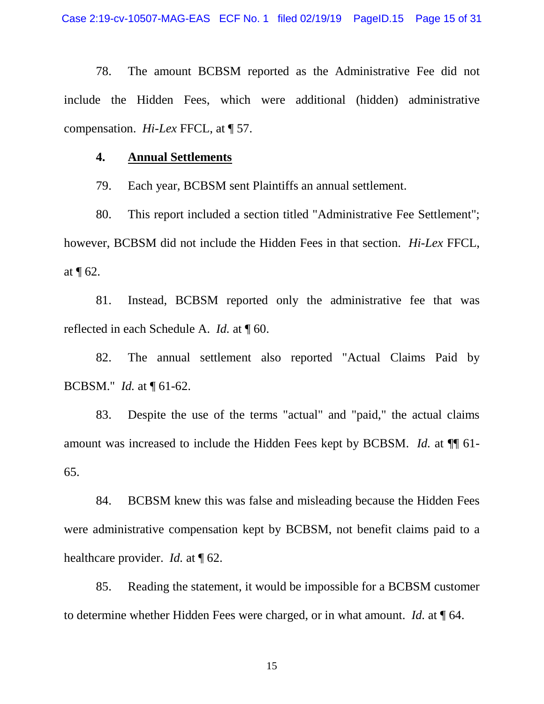78. The amount BCBSM reported as the Administrative Fee did not include the Hidden Fees, which were additional (hidden) administrative compensation. *Hi-Lex* FFCL, at ¶ 57.

#### **4. Annual Settlements**

79. Each year, BCBSM sent Plaintiffs an annual settlement.

80. This report included a section titled "Administrative Fee Settlement"; however, BCBSM did not include the Hidden Fees in that section. *Hi-Lex* FFCL, at ¶ 62.

81. Instead, BCBSM reported only the administrative fee that was reflected in each Schedule A. *Id.* at ¶ 60.

82. The annual settlement also reported "Actual Claims Paid by BCBSM." *Id.* at ¶ 61-62.

83. Despite the use of the terms "actual" and "paid," the actual claims amount was increased to include the Hidden Fees kept by BCBSM. *Id.* at ¶¶ 61- 65.

84. BCBSM knew this was false and misleading because the Hidden Fees were administrative compensation kept by BCBSM, not benefit claims paid to a healthcare provider. *Id.* at  $\P$  62.

85. Reading the statement, it would be impossible for a BCBSM customer to determine whether Hidden Fees were charged, or in what amount. *Id.* at ¶ 64.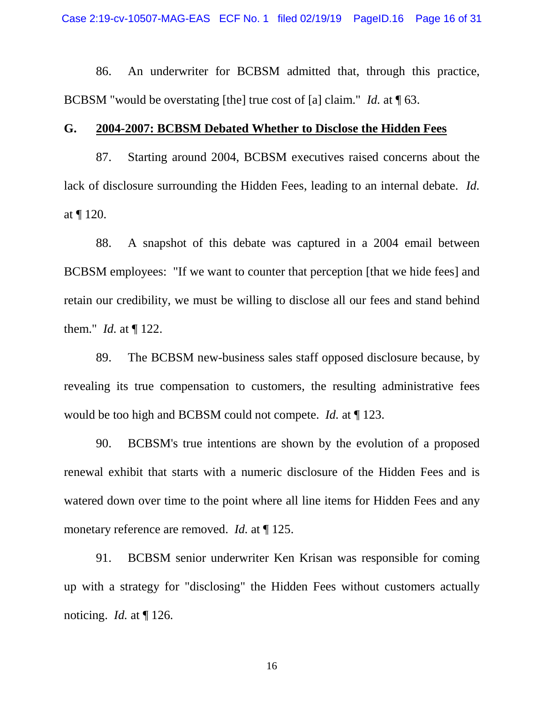86. An underwriter for BCBSM admitted that, through this practice, BCBSM "would be overstating [the] true cost of [a] claim." *Id.* at ¶ 63.

#### **G. 2004-2007: BCBSM Debated Whether to Disclose the Hidden Fees**

87. Starting around 2004, BCBSM executives raised concerns about the lack of disclosure surrounding the Hidden Fees, leading to an internal debate. *Id.*  at ¶ 120.

88. A snapshot of this debate was captured in a 2004 email between BCBSM employees: "If we want to counter that perception [that we hide fees] and retain our credibility, we must be willing to disclose all our fees and stand behind them." *Id.* at ¶ 122.

89. The BCBSM new-business sales staff opposed disclosure because, by revealing its true compensation to customers, the resulting administrative fees would be too high and BCBSM could not compete. *Id.* at ¶ 123.

90. BCBSM's true intentions are shown by the evolution of a proposed renewal exhibit that starts with a numeric disclosure of the Hidden Fees and is watered down over time to the point where all line items for Hidden Fees and any monetary reference are removed. *Id.* at  $\P$  125.

91. BCBSM senior underwriter Ken Krisan was responsible for coming up with a strategy for "disclosing" the Hidden Fees without customers actually noticing. *Id.* at ¶ 126.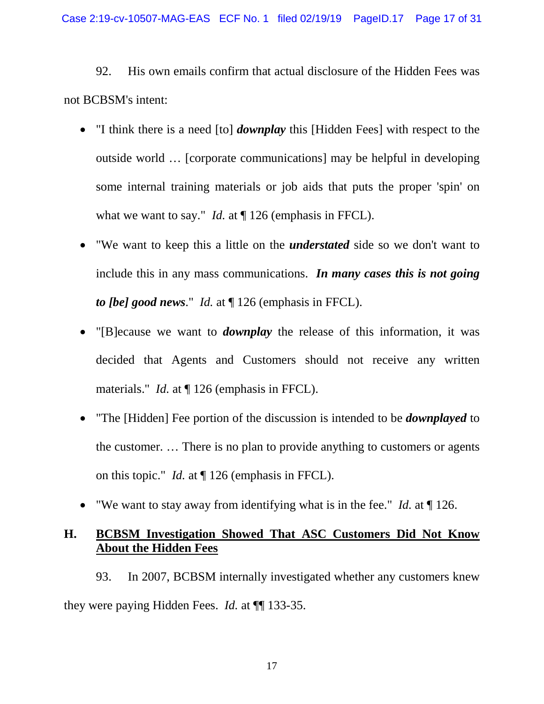92. His own emails confirm that actual disclosure of the Hidden Fees was not BCBSM's intent:

- "I think there is a need [to] *downplay* this [Hidden Fees] with respect to the outside world … [corporate communications] may be helpful in developing some internal training materials or job aids that puts the proper 'spin' on what we want to say." *Id.* at  $\P$  126 (emphasis in FFCL).
- "We want to keep this a little on the *understated* side so we don't want to include this in any mass communications. *In many cases this is not going to [be] good news*." *Id.* at ¶ 126 (emphasis in FFCL).
- "[B]ecause we want to *downplay* the release of this information, it was decided that Agents and Customers should not receive any written materials." *Id.* at ¶ 126 (emphasis in FFCL).
- "The [Hidden] Fee portion of the discussion is intended to be *downplayed* to the customer. … There is no plan to provide anything to customers or agents on this topic." *Id.* at ¶ 126 (emphasis in FFCL).
- "We want to stay away from identifying what is in the fee." *Id.* at ¶ 126.

# **H. BCBSM Investigation Showed That ASC Customers Did Not Know About the Hidden Fees**

93. In 2007, BCBSM internally investigated whether any customers knew they were paying Hidden Fees. *Id.* at ¶¶ 133-35.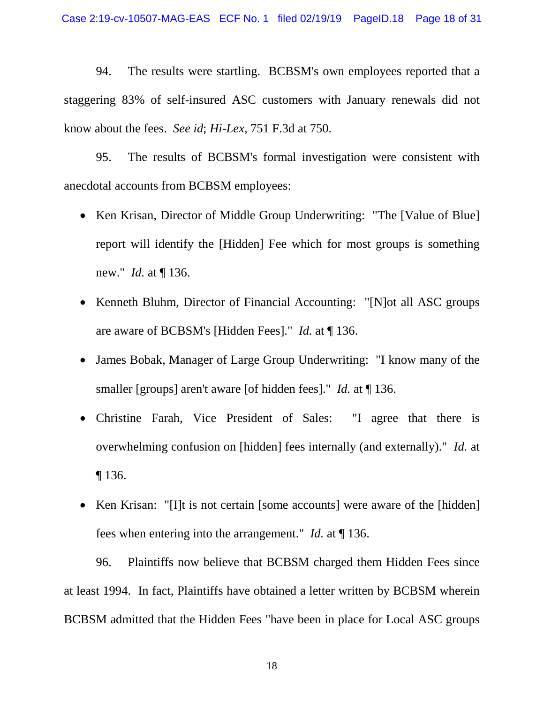94. The results were startling. BCBSM's own employees reported that a staggering 83% of self-insured ASC customers with January renewals did not know about the fees. *See id*; *Hi-Lex,* 751 F.3d at 750.

95. The results of BCBSM's formal investigation were consistent with anecdotal accounts from BCBSM employees:

- Ken Krisan, Director of Middle Group Underwriting: "The [Value of Blue] report will identify the [Hidden] Fee which for most groups is something new." *Id.* at ¶ 136.
- Kenneth Bluhm, Director of Financial Accounting: "[N]ot all ASC groups are aware of BCBSM's [Hidden Fees]." *Id.* at ¶ 136.
- James Bobak, Manager of Large Group Underwriting: "I know many of the smaller [groups] aren't aware [of hidden fees]." *Id.* at ¶ 136.
- Christine Farah, Vice President of Sales: "I agree that there is overwhelming confusion on [hidden] fees internally (and externally)." *Id.* at ¶ 136.
- Ken Krisan: "[I]t is not certain [some accounts] were aware of the [hidden] fees when entering into the arrangement." *Id.* at ¶ 136.

96. Plaintiffs now believe that BCBSM charged them Hidden Fees since at least 1994. In fact, Plaintiffs have obtained a letter written by BCBSM wherein BCBSM admitted that the Hidden Fees "have been in place for Local ASC groups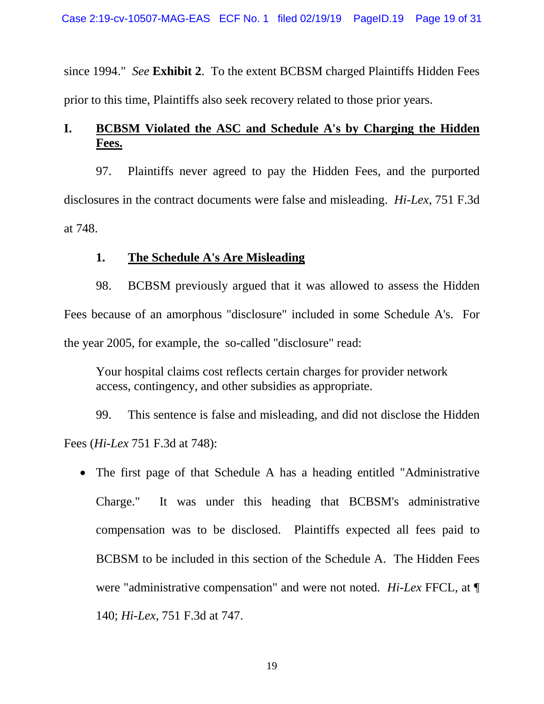since 1994." *See* **Exhibit 2**. To the extent BCBSM charged Plaintiffs Hidden Fees prior to this time, Plaintiffs also seek recovery related to those prior years.

# **I. BCBSM Violated the ASC and Schedule A's by Charging the Hidden Fees.**

97. Plaintiffs never agreed to pay the Hidden Fees, and the purported disclosures in the contract documents were false and misleading. *Hi-Lex*, 751 F.3d at 748.

# **1. The Schedule A's Are Misleading**

98. BCBSM previously argued that it was allowed to assess the Hidden Fees because of an amorphous "disclosure" included in some Schedule A's. For the year 2005, for example, the so-called "disclosure" read:

Your hospital claims cost reflects certain charges for provider network access, contingency, and other subsidies as appropriate.

99. This sentence is false and misleading, and did not disclose the Hidden Fees (*Hi-Lex* 751 F.3d at 748):

• The first page of that Schedule A has a heading entitled "Administrative" Charge." It was under this heading that BCBSM's administrative compensation was to be disclosed. Plaintiffs expected all fees paid to BCBSM to be included in this section of the Schedule A. The Hidden Fees were "administrative compensation" and were not noted. *Hi-Lex* FFCL, at ¶ 140; *Hi-Lex*, 751 F.3d at 747.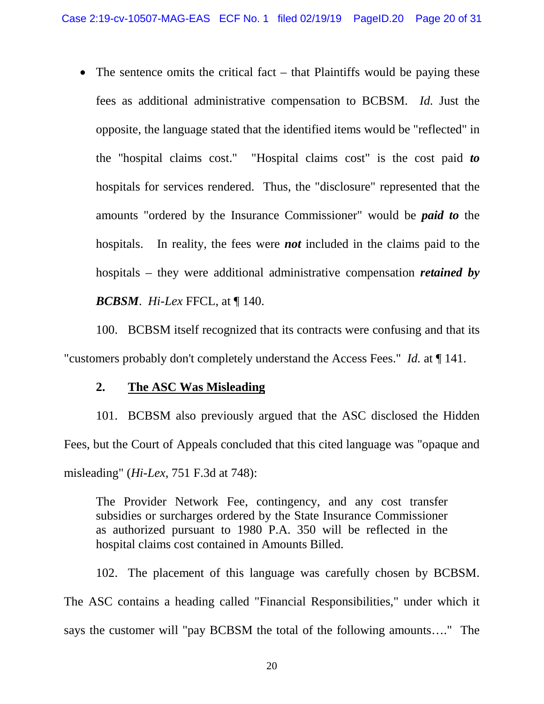• The sentence omits the critical fact – that Plaintiffs would be paying these fees as additional administrative compensation to BCBSM. *Id.* Just the opposite, the language stated that the identified items would be "reflected" in the "hospital claims cost." "Hospital claims cost" is the cost paid *to* hospitals for services rendered. Thus, the "disclosure" represented that the amounts "ordered by the Insurance Commissioner" would be *paid to* the hospitals. In reality, the fees were *not* included in the claims paid to the hospitals – they were additional administrative compensation *retained by BCBSM*. *Hi-Lex* FFCL, at ¶ 140.

100. BCBSM itself recognized that its contracts were confusing and that its "customers probably don't completely understand the Access Fees." *Id.* at ¶ 141.

### **2. The ASC Was Misleading**

101. BCBSM also previously argued that the ASC disclosed the Hidden Fees, but the Court of Appeals concluded that this cited language was "opaque and misleading" (*Hi-Lex*, 751 F.3d at 748):

The Provider Network Fee, contingency, and any cost transfer subsidies or surcharges ordered by the State Insurance Commissioner as authorized pursuant to 1980 P.A. 350 will be reflected in the hospital claims cost contained in Amounts Billed.

102. The placement of this language was carefully chosen by BCBSM. The ASC contains a heading called "Financial Responsibilities," under which it says the customer will "pay BCBSM the total of the following amounts…." The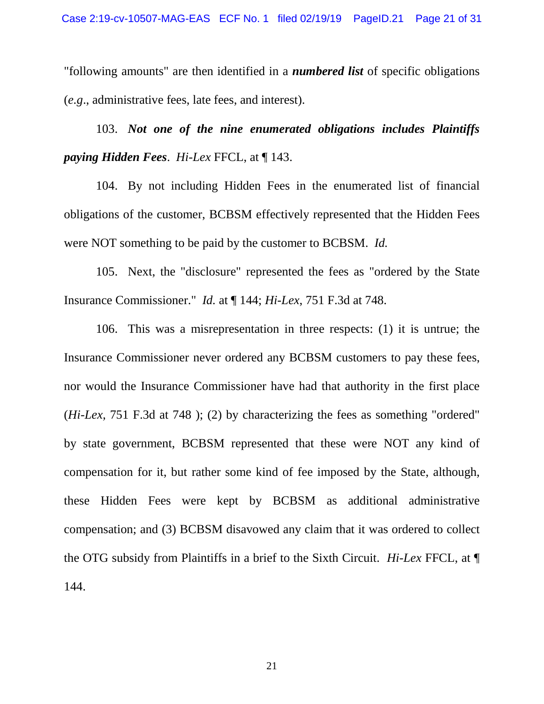"following amounts" are then identified in a *numbered list* of specific obligations (*e.g*., administrative fees, late fees, and interest).

103. *Not one of the nine enumerated obligations includes Plaintiffs paying Hidden Fees*. *Hi-Lex* FFCL, at ¶ 143.

104. By not including Hidden Fees in the enumerated list of financial obligations of the customer, BCBSM effectively represented that the Hidden Fees were NOT something to be paid by the customer to BCBSM. *Id.*

105. Next, the "disclosure" represented the fees as "ordered by the State Insurance Commissioner." *Id.* at ¶ 144; *Hi-Lex*, 751 F.3d at 748.

106. This was a misrepresentation in three respects: (1) it is untrue; the Insurance Commissioner never ordered any BCBSM customers to pay these fees, nor would the Insurance Commissioner have had that authority in the first place (*Hi-Lex,* 751 F.3d at 748 ); (2) by characterizing the fees as something "ordered" by state government, BCBSM represented that these were NOT any kind of compensation for it, but rather some kind of fee imposed by the State, although, these Hidden Fees were kept by BCBSM as additional administrative compensation; and (3) BCBSM disavowed any claim that it was ordered to collect the OTG subsidy from Plaintiffs in a brief to the Sixth Circuit. *Hi-Lex* FFCL, at ¶ 144.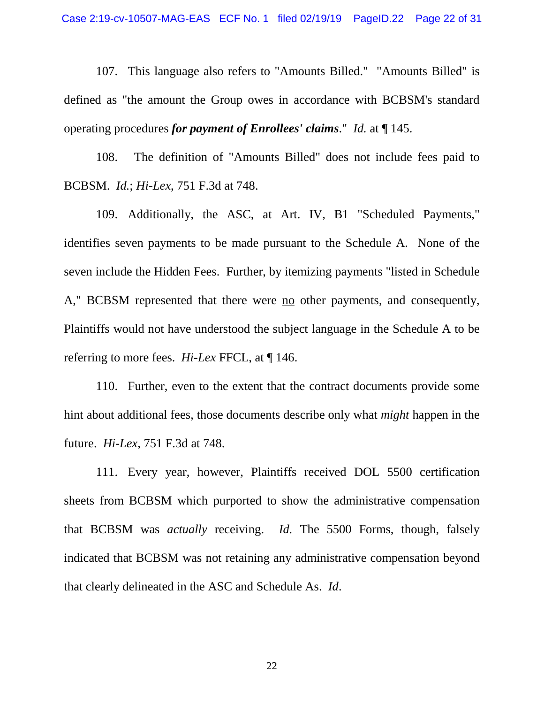107. This language also refers to "Amounts Billed." "Amounts Billed" is defined as "the amount the Group owes in accordance with BCBSM's standard operating procedures *for payment of Enrollees' claims*." *Id.* at ¶ 145.

108. The definition of "Amounts Billed" does not include fees paid to BCBSM. *Id.*; *Hi-Lex*, 751 F.3d at 748.

109. Additionally, the ASC, at Art. IV, B1 "Scheduled Payments," identifies seven payments to be made pursuant to the Schedule A. None of the seven include the Hidden Fees. Further, by itemizing payments "listed in Schedule A," BCBSM represented that there were no other payments, and consequently, Plaintiffs would not have understood the subject language in the Schedule A to be referring to more fees. *Hi-Lex* FFCL, at ¶ 146.

110. Further, even to the extent that the contract documents provide some hint about additional fees, those documents describe only what *might* happen in the future. *Hi-Lex*, 751 F.3d at 748.

111. Every year, however, Plaintiffs received DOL 5500 certification sheets from BCBSM which purported to show the administrative compensation that BCBSM was *actually* receiving. *Id.* The 5500 Forms, though, falsely indicated that BCBSM was not retaining any administrative compensation beyond that clearly delineated in the ASC and Schedule As. *Id*.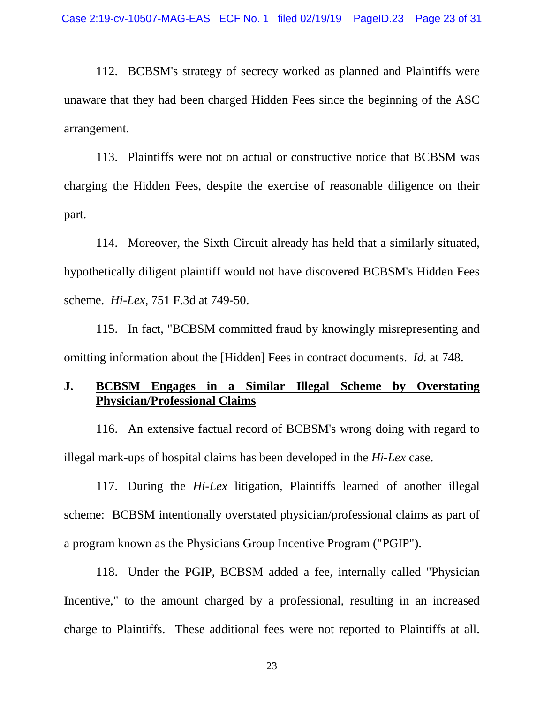112. BCBSM's strategy of secrecy worked as planned and Plaintiffs were unaware that they had been charged Hidden Fees since the beginning of the ASC arrangement.

113. Plaintiffs were not on actual or constructive notice that BCBSM was charging the Hidden Fees, despite the exercise of reasonable diligence on their part.

114. Moreover, the Sixth Circuit already has held that a similarly situated, hypothetically diligent plaintiff would not have discovered BCBSM's Hidden Fees scheme. *Hi-Lex*, 751 F.3d at 749-50.

115. In fact, "BCBSM committed fraud by knowingly misrepresenting and omitting information about the [Hidden] Fees in contract documents. *Id.* at 748.

# **J. BCBSM Engages in a Similar Illegal Scheme by Overstating Physician/Professional Claims**

116. An extensive factual record of BCBSM's wrong doing with regard to illegal mark-ups of hospital claims has been developed in the *Hi-Lex* case.

117. During the *Hi-Lex* litigation, Plaintiffs learned of another illegal scheme: BCBSM intentionally overstated physician/professional claims as part of a program known as the Physicians Group Incentive Program ("PGIP").

118. Under the PGIP, BCBSM added a fee, internally called "Physician Incentive," to the amount charged by a professional, resulting in an increased charge to Plaintiffs. These additional fees were not reported to Plaintiffs at all.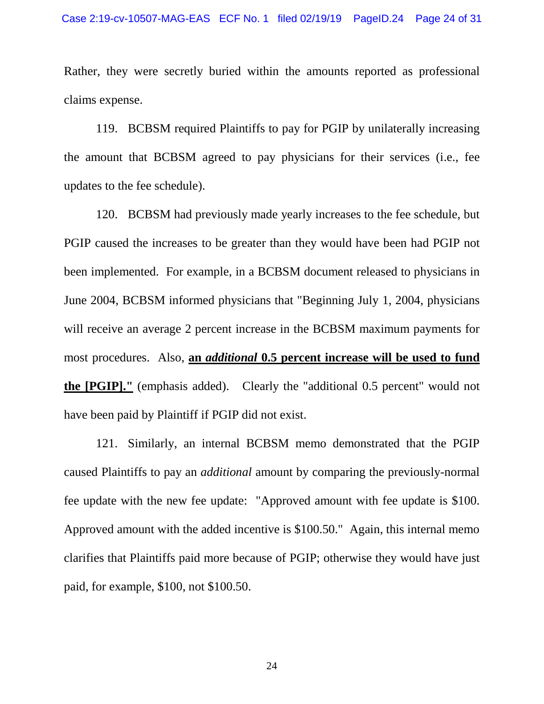Rather, they were secretly buried within the amounts reported as professional claims expense.

119. BCBSM required Plaintiffs to pay for PGIP by unilaterally increasing the amount that BCBSM agreed to pay physicians for their services (i.e., fee updates to the fee schedule).

120. BCBSM had previously made yearly increases to the fee schedule, but PGIP caused the increases to be greater than they would have been had PGIP not been implemented. For example, in a BCBSM document released to physicians in June 2004, BCBSM informed physicians that "Beginning July 1, 2004, physicians will receive an average 2 percent increase in the BCBSM maximum payments for most procedures. Also, **an** *additional* **0.5 percent increase will be used to fund the [PGIP]."** (emphasis added). Clearly the "additional 0.5 percent" would not have been paid by Plaintiff if PGIP did not exist.

121. Similarly, an internal BCBSM memo demonstrated that the PGIP caused Plaintiffs to pay an *additional* amount by comparing the previously-normal fee update with the new fee update: "Approved amount with fee update is \$100. Approved amount with the added incentive is \$100.50." Again, this internal memo clarifies that Plaintiffs paid more because of PGIP; otherwise they would have just paid, for example, \$100, not \$100.50.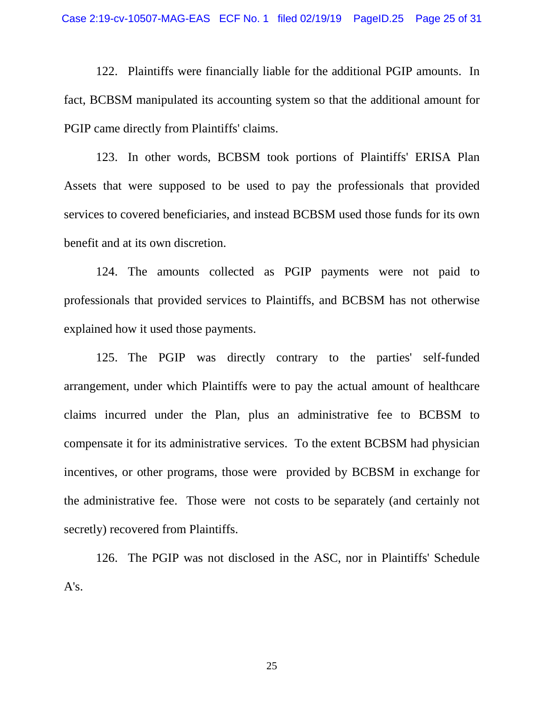122. Plaintiffs were financially liable for the additional PGIP amounts. In fact, BCBSM manipulated its accounting system so that the additional amount for PGIP came directly from Plaintiffs' claims.

123. In other words, BCBSM took portions of Plaintiffs' ERISA Plan Assets that were supposed to be used to pay the professionals that provided services to covered beneficiaries, and instead BCBSM used those funds for its own benefit and at its own discretion.

124. The amounts collected as PGIP payments were not paid to professionals that provided services to Plaintiffs, and BCBSM has not otherwise explained how it used those payments.

125. The PGIP was directly contrary to the parties' self-funded arrangement, under which Plaintiffs were to pay the actual amount of healthcare claims incurred under the Plan, plus an administrative fee to BCBSM to compensate it for its administrative services. To the extent BCBSM had physician incentives, or other programs, those were provided by BCBSM in exchange for the administrative fee. Those were not costs to be separately (and certainly not secretly) recovered from Plaintiffs.

126. The PGIP was not disclosed in the ASC, nor in Plaintiffs' Schedule A's.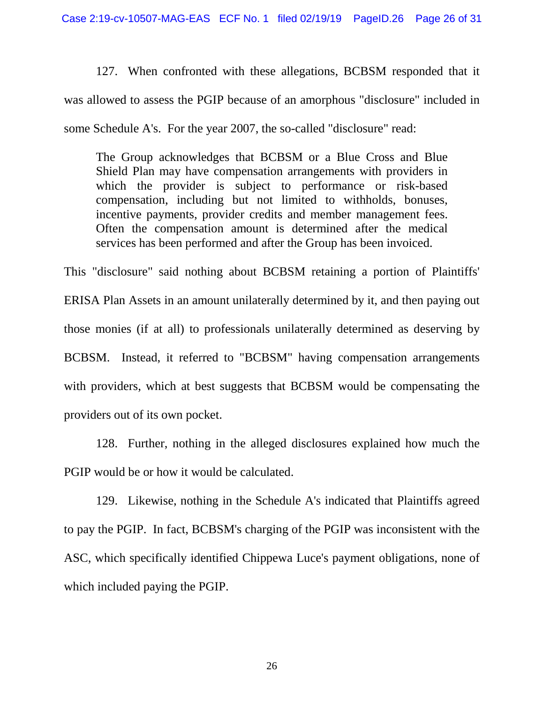127. When confronted with these allegations, BCBSM responded that it was allowed to assess the PGIP because of an amorphous "disclosure" included in some Schedule A's. For the year 2007, the so-called "disclosure" read:

The Group acknowledges that BCBSM or a Blue Cross and Blue Shield Plan may have compensation arrangements with providers in which the provider is subject to performance or risk-based compensation, including but not limited to withholds, bonuses, incentive payments, provider credits and member management fees. Often the compensation amount is determined after the medical services has been performed and after the Group has been invoiced.

This "disclosure" said nothing about BCBSM retaining a portion of Plaintiffs' ERISA Plan Assets in an amount unilaterally determined by it, and then paying out those monies (if at all) to professionals unilaterally determined as deserving by BCBSM. Instead, it referred to "BCBSM" having compensation arrangements with providers, which at best suggests that BCBSM would be compensating the providers out of its own pocket.

128. Further, nothing in the alleged disclosures explained how much the PGIP would be or how it would be calculated.

129. Likewise, nothing in the Schedule A's indicated that Plaintiffs agreed to pay the PGIP. In fact, BCBSM's charging of the PGIP was inconsistent with the ASC, which specifically identified Chippewa Luce's payment obligations, none of which included paying the PGIP.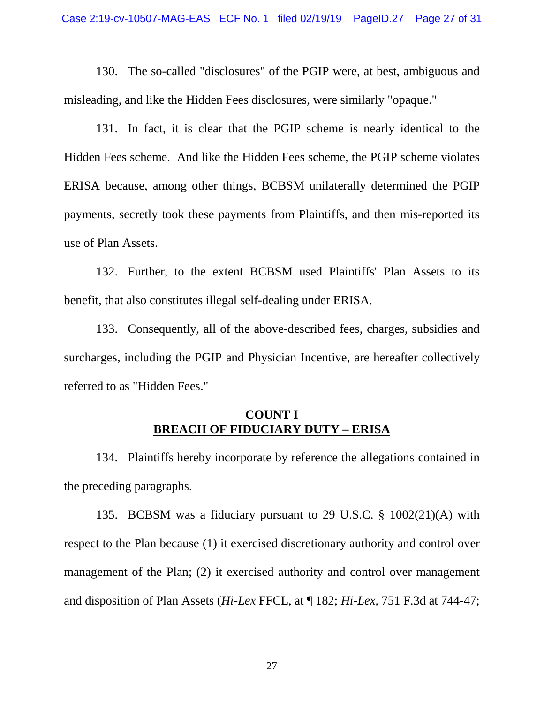130. The so-called "disclosures" of the PGIP were, at best, ambiguous and misleading, and like the Hidden Fees disclosures, were similarly "opaque."

131. In fact, it is clear that the PGIP scheme is nearly identical to the Hidden Fees scheme. And like the Hidden Fees scheme, the PGIP scheme violates ERISA because, among other things, BCBSM unilaterally determined the PGIP payments, secretly took these payments from Plaintiffs, and then mis-reported its use of Plan Assets.

132. Further, to the extent BCBSM used Plaintiffs' Plan Assets to its benefit, that also constitutes illegal self-dealing under ERISA.

133. Consequently, all of the above-described fees, charges, subsidies and surcharges, including the PGIP and Physician Incentive, are hereafter collectively referred to as "Hidden Fees."

## **COUNT I BREACH OF FIDUCIARY DUTY – ERISA**

134. Plaintiffs hereby incorporate by reference the allegations contained in the preceding paragraphs.

135. BCBSM was a fiduciary pursuant to 29 U.S.C. § 1002(21)(A) with respect to the Plan because (1) it exercised discretionary authority and control over management of the Plan; (2) it exercised authority and control over management and disposition of Plan Assets (*Hi-Lex* FFCL, at ¶ 182; *Hi-Lex*, 751 F.3d at 744-47;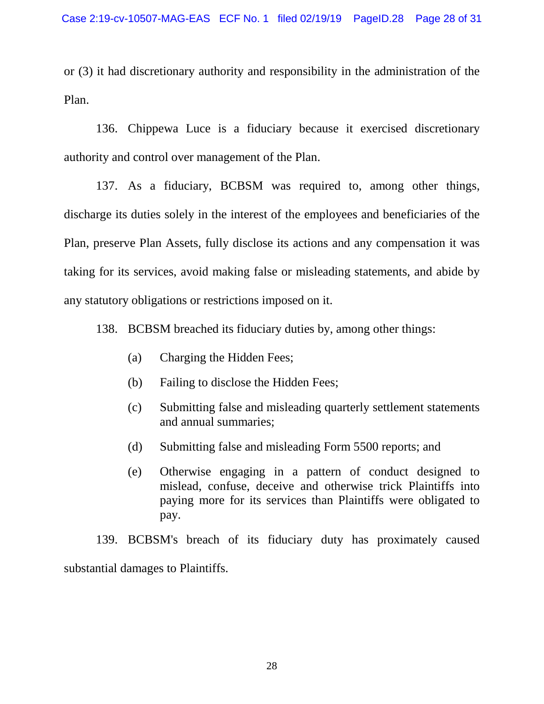or (3) it had discretionary authority and responsibility in the administration of the Plan.

136. Chippewa Luce is a fiduciary because it exercised discretionary authority and control over management of the Plan.

137. As a fiduciary, BCBSM was required to, among other things, discharge its duties solely in the interest of the employees and beneficiaries of the Plan, preserve Plan Assets, fully disclose its actions and any compensation it was taking for its services, avoid making false or misleading statements, and abide by any statutory obligations or restrictions imposed on it.

138. BCBSM breached its fiduciary duties by, among other things:

- (a) Charging the Hidden Fees;
- (b) Failing to disclose the Hidden Fees;
- (c) Submitting false and misleading quarterly settlement statements and annual summaries;
- (d) Submitting false and misleading Form 5500 reports; and
- (e) Otherwise engaging in a pattern of conduct designed to mislead, confuse, deceive and otherwise trick Plaintiffs into paying more for its services than Plaintiffs were obligated to pay.

139. BCBSM's breach of its fiduciary duty has proximately caused substantial damages to Plaintiffs.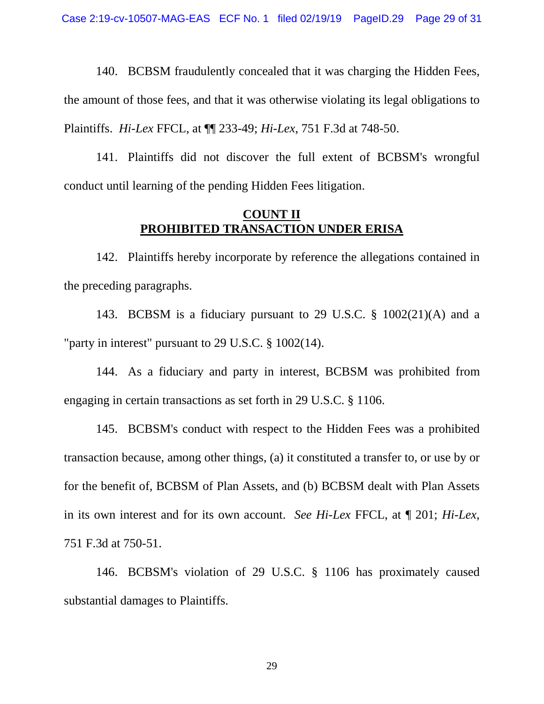140. BCBSM fraudulently concealed that it was charging the Hidden Fees, the amount of those fees, and that it was otherwise violating its legal obligations to Plaintiffs. *Hi-Lex* FFCL, at ¶¶ 233-49; *Hi-Lex*, 751 F.3d at 748-50.

141. Plaintiffs did not discover the full extent of BCBSM's wrongful conduct until learning of the pending Hidden Fees litigation.

#### **COUNT II PROHIBITED TRANSACTION UNDER ERISA**

142. Plaintiffs hereby incorporate by reference the allegations contained in the preceding paragraphs.

143. BCBSM is a fiduciary pursuant to 29 U.S.C. § 1002(21)(A) and a "party in interest" pursuant to 29 U.S.C. § 1002(14).

144. As a fiduciary and party in interest, BCBSM was prohibited from engaging in certain transactions as set forth in 29 U.S.C. § 1106.

145. BCBSM's conduct with respect to the Hidden Fees was a prohibited transaction because, among other things, (a) it constituted a transfer to, or use by or for the benefit of, BCBSM of Plan Assets, and (b) BCBSM dealt with Plan Assets in its own interest and for its own account. *See Hi-Lex* FFCL, at ¶ 201; *Hi-Lex,* 751 F.3d at 750-51.

146. BCBSM's violation of 29 U.S.C. § 1106 has proximately caused substantial damages to Plaintiffs.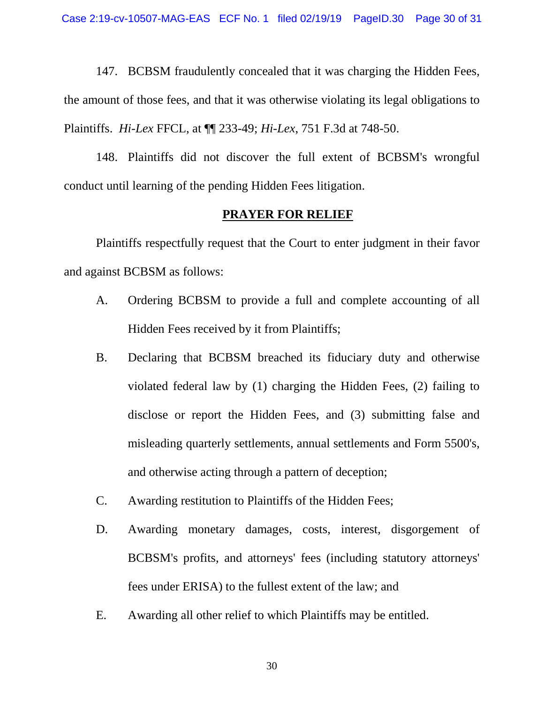147. BCBSM fraudulently concealed that it was charging the Hidden Fees, the amount of those fees, and that it was otherwise violating its legal obligations to Plaintiffs. *Hi-Lex* FFCL, at ¶¶ 233-49; *Hi-Lex*, 751 F.3d at 748-50.

148. Plaintiffs did not discover the full extent of BCBSM's wrongful conduct until learning of the pending Hidden Fees litigation.

## **PRAYER FOR RELIEF**

Plaintiffs respectfully request that the Court to enter judgment in their favor and against BCBSM as follows:

- A. Ordering BCBSM to provide a full and complete accounting of all Hidden Fees received by it from Plaintiffs;
- B. Declaring that BCBSM breached its fiduciary duty and otherwise violated federal law by (1) charging the Hidden Fees, (2) failing to disclose or report the Hidden Fees, and (3) submitting false and misleading quarterly settlements, annual settlements and Form 5500's, and otherwise acting through a pattern of deception;
- C. Awarding restitution to Plaintiffs of the Hidden Fees;
- D. Awarding monetary damages, costs, interest, disgorgement of BCBSM's profits, and attorneys' fees (including statutory attorneys' fees under ERISA) to the fullest extent of the law; and
- E. Awarding all other relief to which Plaintiffs may be entitled.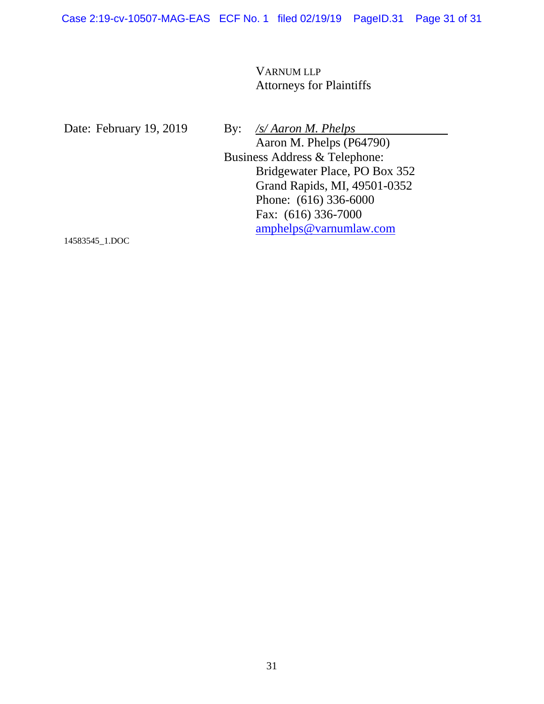VARNUM LLP Attorneys for Plaintiffs

Date: February 19, 2019 By: */s/ Aaron M. Phelps* Aaron M. Phelps (P64790) Business Address & Telephone: Bridgewater Place, PO Box 352 Grand Rapids, MI, 49501-0352 Phone: (616) 336-6000 Fax: (616) 336-7000 [amphelps@varnumlaw.com](mailto:amphelps@varnumlaw.com)

14583545\_1.DOC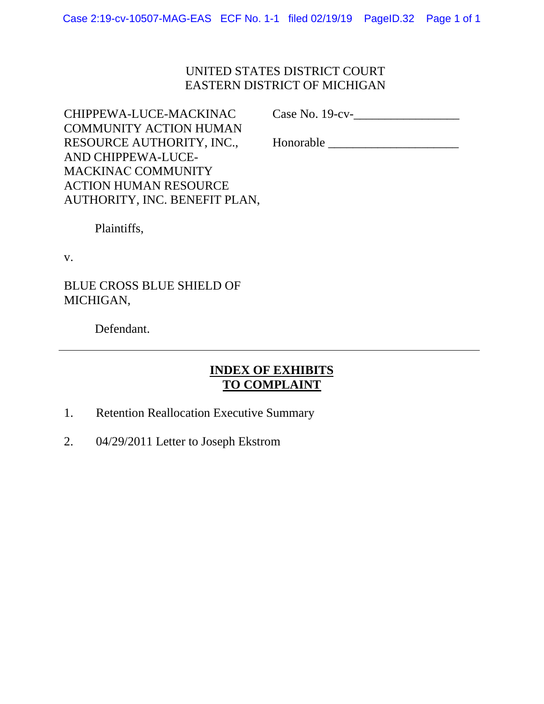## UNITED STATES DISTRICT COURT EASTERN DISTRICT OF MICHIGAN

CHIPPEWA-LUCE-MACKINAC COMMUNITY ACTION HUMAN RESOURCE AUTHORITY, INC., AND CHIPPEWA-LUCE-MACKINAC COMMUNITY ACTION HUMAN RESOURCE AUTHORITY, INC. BENEFIT PLAN, Case No. 19-cv-\_\_\_\_\_\_\_\_\_\_\_\_\_\_\_\_\_

Honorable **Executive Executive Executive Executive Executive Executive Executive Executive Executive Executive Executive Executive Executive Executive Executive Executive Executive Executive Executive Executive Executive E** 

Plaintiffs,

v.

BLUE CROSS BLUE SHIELD OF MICHIGAN,

Defendant.

# **INDEX OF EXHIBITS TO COMPLAINT**

- 1. Retention Reallocation Executive Summary
- 2. 04/29/2011 Letter to Joseph Ekstrom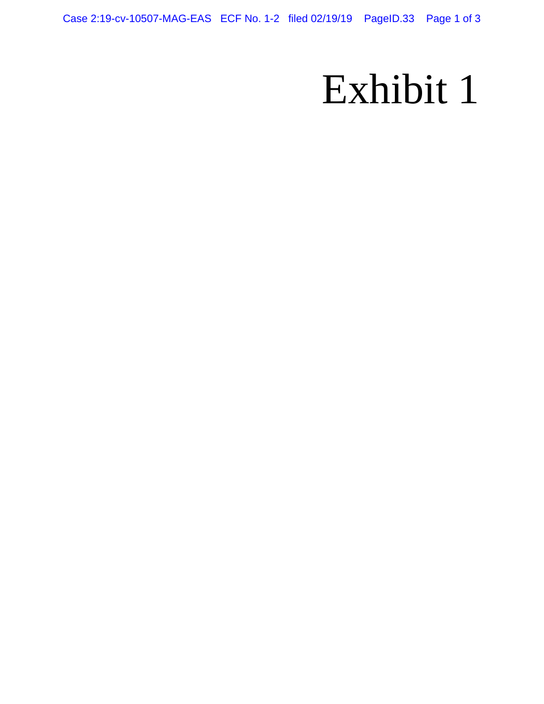Case 2:19-cv-10507-MAG-EAS ECF No. 1-2 filed 02/19/19 PageID.33 Page 1 of 3

# Exhibit 1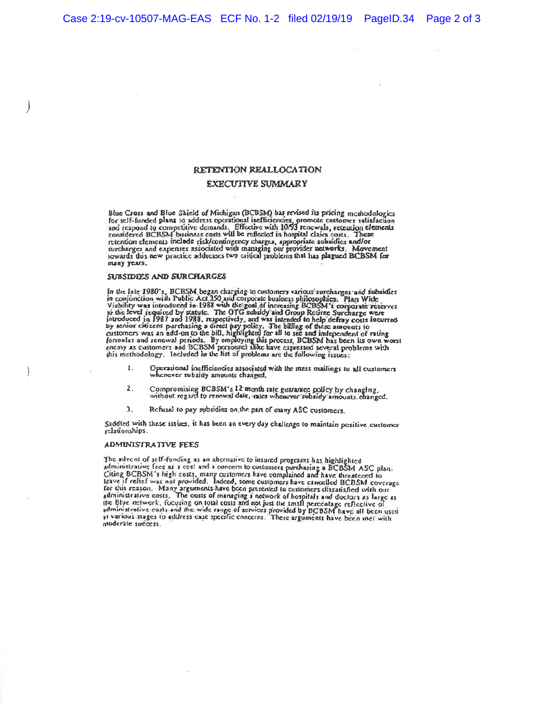#### RETENTION REALLOCATION

#### **EXECUTIVE SUMMARY**

Blue Cross and Blue Shield of Michigan (BCBSM) has revised its pricing methodologies for self-funded plans to address operational inefficiencies, promote eustomer satisfaction and respond to competitive demands. Effective with 10/93 renewals, reteation elements considered BCBSM business costs will be refle retention elements include risk/condingency charges, appropriate subsidies and/or surcharges and expenses associated with managing our provider networks. Movement towards this new practice addresses two critical problems t талу услуг.

#### SUBSIDIES AND SURCHARGES

In the late 1980's, BCBSM began charging to customers various' surcharges and subsidies<br>in conjunction with Public Act 350 and corporate business philosophies. Plan Wide<br>Viability was introduced in 1988 with the goal of in

- Operational inefficiencies associated with the mass mailings to all customers<br>whenever subsidy amounts changed,  $\mathbf{1}$ .
- Compromising BCBSM's 12 month rate guarantee policy by changing.<br>without regard to renowal date, rates whenever subsidy amounts changed.  $2.$
- $\mathcal{L}$ Refusal to pay subsidies on the part of many ASC customers.

Saddled with these issues, it has been an every day challenge to maintain positive customer relationships.

#### **ADMINISTRATIVE FEES**

The advent of self-funding as an alternative to insured programs has highlighted Administrative fees as a cost and a concern to customers purchasing a BCBSM ASC plan.<br>Citing BCBSM's high costs, many customers have complained and have threatened to<br>leave if relief was not provided. Indeed, some customer leave if relief was not provided. Indeed, some customers have examelled BCBSM coverage<br>for this reason. Many arguments have been prosented to customers discapated with our<br>administrative costs. The costs of managing a netw moderate success.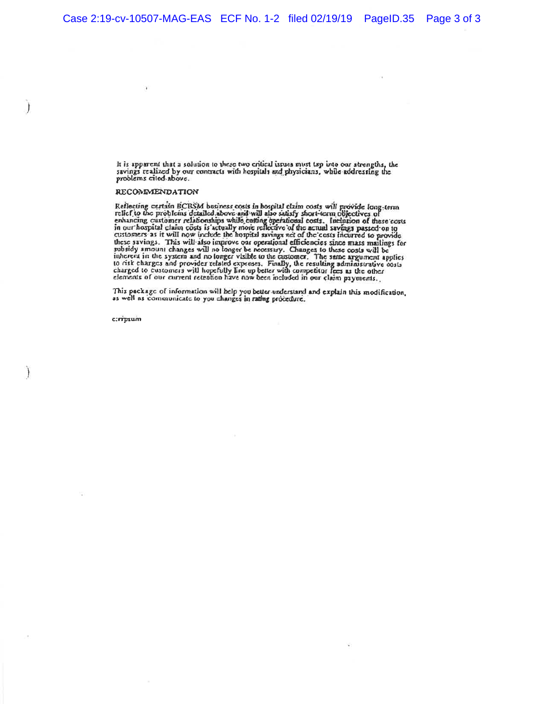It is apparent that a solution to these two critical issues must tap into our strengths, the savings realized by our contracts with hospitals and physicians, while addressing the problems cited above.

#### RECONDIENDATION

Reflecting certain BCBSM business costs in bospital claim costs will provide long-term<br>relief to the problems detailed above and will also satisfy short-term objectives of<br>enhancing customer relationships while camp operat

This package of information will help you better understand and explain this modification, as well as communicate to you changes in rating procedure.

c:rrpsum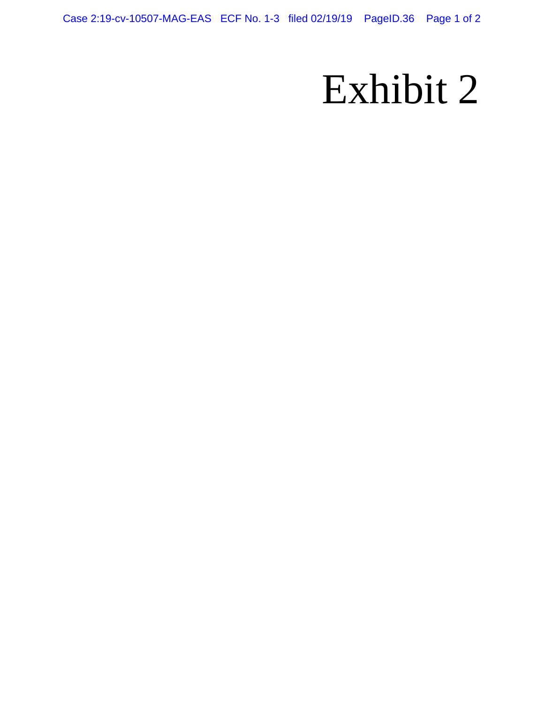Case 2:19-cv-10507-MAG-EAS ECF No. 1-3 filed 02/19/19 PageID.36 Page 1 of 2

# Exhibit 2